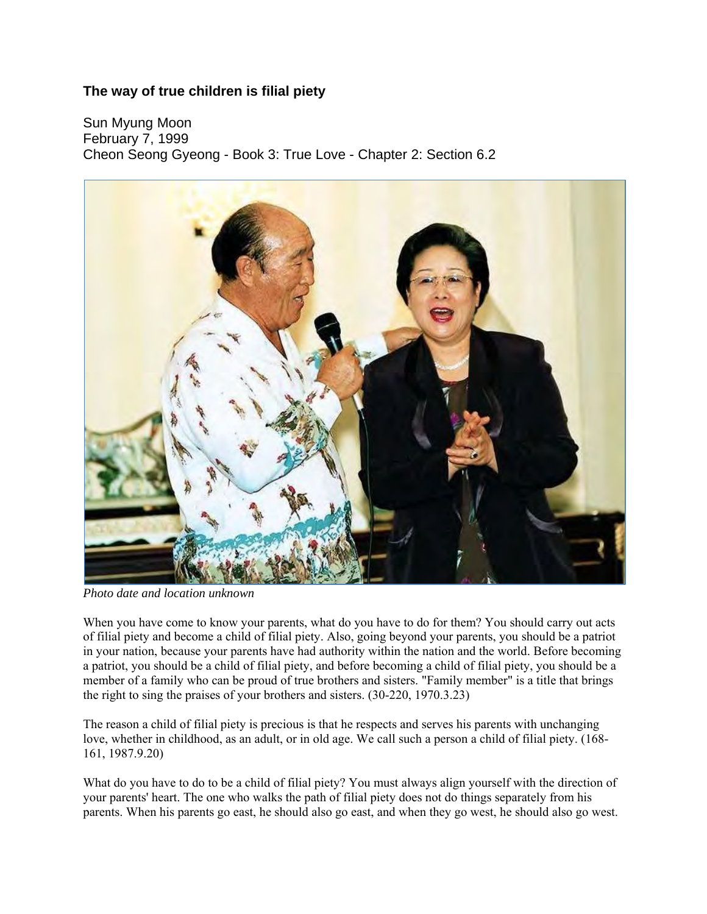## **The way of true children is filial piety**

Sun Myung Moon February 7, 1999 Cheon Seong Gyeong - Book 3: True Love - Chapter 2: Section 6.2



*Photo date and location unknown* 

When you have come to know your parents, what do you have to do for them? You should carry out acts of filial piety and become a child of filial piety. Also, going beyond your parents, you should be a patriot in your nation, because your parents have had authority within the nation and the world. Before becoming a patriot, you should be a child of filial piety, and before becoming a child of filial piety, you should be a member of a family who can be proud of true brothers and sisters. "Family member" is a title that brings the right to sing the praises of your brothers and sisters. (30-220, 1970.3.23)

The reason a child of filial piety is precious is that he respects and serves his parents with unchanging love, whether in childhood, as an adult, or in old age. We call such a person a child of filial piety. (168- 161, 1987.9.20)

What do you have to do to be a child of filial piety? You must always align yourself with the direction of your parents' heart. The one who walks the path of filial piety does not do things separately from his parents. When his parents go east, he should also go east, and when they go west, he should also go west.